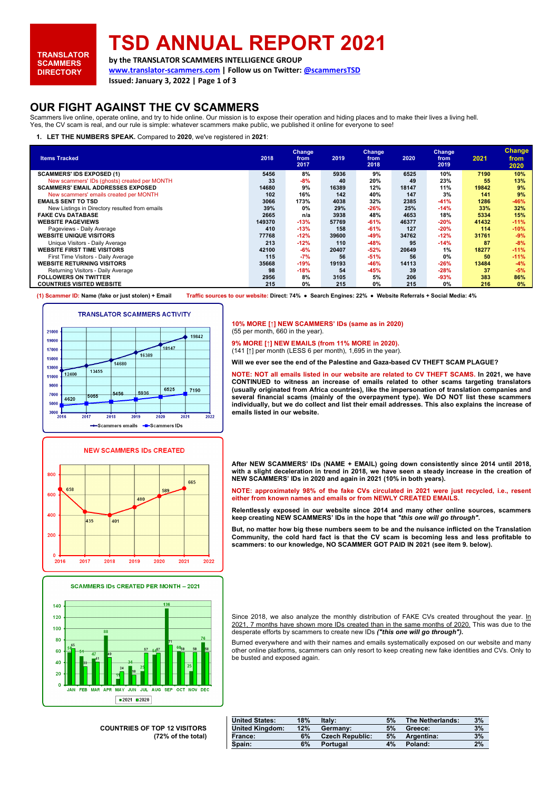# **TSD ANNUAL REPORT 2021**

**by the TRANSLATOR SCAMMERS INTELLIGENCE GROUP**

**www.translator-scammers.com | Follow us on Twitter[: @scammersTSD](https://twitter.com/ScammersTsd)**

**Issued: January 3, 2022 | Page 1 of 3**

## **OUR FIGHT AGAINST THE CV SCAMMERS**

Scammers live online, operate online, and try to hide online. Our mission is to expose their operation and hiding places and to make their lives a living hell. Yes, the CV scam is real, and our rule is simple: whatever scammers make public, we published it online for everyone to see!

**1. LET THE NUMBERS SPEAK.** Compared to **2020**, we've registered in **2021**:

| <b>Items Tracked</b>                           | 2018   | Change,<br>from<br>2017 | 2019  | <b>Change</b><br>from<br>2018 | 2020  | <b>Change</b><br>from<br>2019 | 2021  | <b>Change</b><br>from<br>2020 |
|------------------------------------------------|--------|-------------------------|-------|-------------------------------|-------|-------------------------------|-------|-------------------------------|
| <b>SCAMMERS' IDS EXPOSED (1)</b>               | 5456   | 8%                      | 5936  | 9%                            | 6525  | 10%                           | 7190  | 10%                           |
| New scammers' IDs (ghosts) created per MONTH   | 33     | $-8%$                   | 40    | 20%                           | 49    | 23%                           | 55    | 13%                           |
| <b>SCAMMERS' EMAIL ADDRESSES EXPOSED</b>       | 14680  | 9%                      | 16389 | 12%                           | 18147 | 11%                           | 19842 | 9%                            |
| New scammers' emails created per MONTH         | 102    | 16%                     | 142   | 40%                           | 147   | 3%                            | 141   | 9%                            |
| <b>EMAILS SENT TO TSD</b>                      | 3066   | 173%                    | 4038  | 32%                           | 2385  | $-41%$                        | 1286  | $-46%$                        |
| New Listings in Directory resulted from emails | 39%    | 0%                      | 29%   | -26%                          | 25%   | $-14%$                        | 33%   | 32%                           |
| <b>FAKE CVs DATABASE</b>                       | 2665   | n/a                     | 3938  | 48%                           | 4653  | 18%                           | 5334  | 15%                           |
| <b>WEBSITE PAGEVIEWS</b>                       | 149370 | $-13%$                  | 57769 | -61%                          | 46377 | $-20%$                        | 41432 | $-11%$                        |
| Pageviews - Daily Average                      | 410    | $-13%$                  | 158   | $-61%$                        | 127   | $-20%$                        | 114   | $-10%$                        |
| <b>WEBSITE UNIQUE VISITORS</b>                 | 77768  | $-12%$                  | 39600 | -49%                          | 34762 | $-12%$                        | 31761 | $-9%$                         |
| Unique Visitors - Daily Average                | 213    | $-12%$                  | 110   | -48%                          | 95    | $-14%$                        | 87    | $-8%$                         |
| <b>WEBSITE FIRST TIME VISITORS</b>             | 42100  | $-6%$                   | 20407 | $-52%$                        | 20649 | 1%                            | 18277 | $-11%$                        |
| First Time Visitors - Daily Average            | 115    | $-7%$                   | 56    | $-51%$                        | 56    | 0%                            | 50    | $-11%$                        |
| <b>WEBSITE RETURNING VISITORS</b>              | 35668  | $-19%$                  | 19193 | -46%                          | 14113 | $-26%$                        | 13484 | $-4%$                         |
| Returning Visitors - Daily Average             | 98     | $-18%$                  | 54    | -45%                          | 39    | $-28%$                        | 37    | $-5%$                         |
| <b>FOLLOWERS ON TWITTER</b>                    | 2956   | 8%                      | 3105  | 5%                            | 206   | $-93%$                        | 383   | 86%                           |
| <b>COUNTRIES VISITED WEBSITE</b>               | 215    | 0%                      | 215   | $0\%$                         | 215   | 0%                            | 216   | 0%                            |

**(1) Scammer ID: Name (fake or just stolen) + Email Traffic sources to our website: Direct: 74% ● Search Engines: 22% ● Website Referrals + Social Media: 4%**



#### **NEW SCAMMERS IDs CREATED**





**COUNTRIES OF TOP 12 VISITORS (72% of the total)**

|  |                                  |  |  |  |  | 10% MORE [1] NEW SCAMMERS' IDs (same as in 2020) |  |
|--|----------------------------------|--|--|--|--|--------------------------------------------------|--|
|  | (55 per month, 660 in the year). |  |  |  |  |                                                  |  |

**9% MORE [↑] NEW EMAILS (from 11% MORE in 2020).**

(141 [↑] per month (LESS 6 per month), 1,695 in the year).

**Will we ever see the end of the Palestine and Gaza-based CV THEFT SCAM PLAGUE?**

**NOTE: NOT all emails listed in our website are related to CV THEFT SCAMS. In 2021, we have CONTINUED to witness an increase of emails related to other scams targeting translators (usually originated from Africa countries), like the impersonation of translation companies and several financial scams (mainly of the overpayment type). We DO NOT list these scammers individually, but we do collect and list their email addresses. This also explains the increase of emails listed in our website.**

**After NEW SCAMMERS' IDs (NAME + EMAIL) going down consistently since 2014 until 2018,**  with a slight deceleration in trend in 2018, we have seen a steady increase in the creation of **NEW SCAMMERS' IDs in 2020 and again in 2021 (10% in both years).**

**NOTE: approximately 98% of the fake CVs circulated in 2021 were just recycled, i.e., resent either from known names and emails or from NEWLY CREATED EMAILS.**

**Relentlessly exposed in our website since 2014 and many other online sources, scammers keep creating NEW SCAMMERS' IDs in the hope that** *"this one will go through"***.**

**But, no matter how big these numbers seem to be and the nuisance inflicted on the Translation Community, the cold hard fact is that the CV scam is becoming less and less profitable to scammers: to our knowledge, NO SCAMMER GOT PAID IN 2021 (see item 9. below).**

Since 2018, we also analyze the monthly distribution of FAKE CVs created throughout the year. In 2021, 7 months have shown more IDs created than in the same months of 2020. This was due to the desperate efforts by scammers to create new IDs *("this one will go through")***.**

Burned everywhere and with their names and emails systematically exposed on our website and many other online platforms, scammers can only resort to keep creating new fake identities and CVs. Only to be busted and exposed again.

| 18% | Italy:                 | 5% | The Netherlands: | 3% |
|-----|------------------------|----|------------------|----|
| 12% | Germany:               | 5% | Greece:          | 3% |
| 6%  | <b>Czech Republic:</b> | 5% | Argentina:       | 3% |
| 6%  | Portugal               | 4% | Poland:          | 2% |
|     |                        |    |                  |    |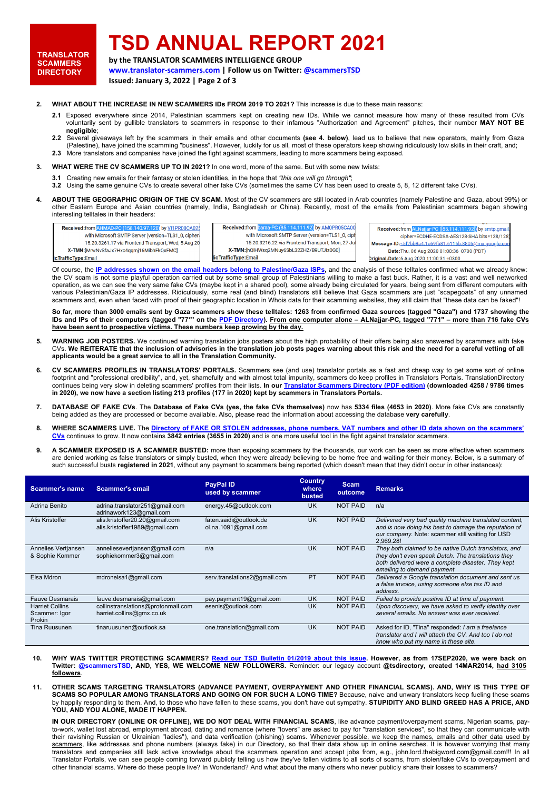**TRANSLATOR SCAMMERS DIRECTORY**

# **TSD ANNUAL REPORT 2021**

**by the TRANSLATOR SCAMMERS INTELLIGENCE GROUP**

**www.translator-scammers.com | Follow us on Twitter[: @scammersTSD](https://twitter.com/ScammersTsd)**

**Issued: January 3, 2022 | Page 2 of 3**

- **2. WHAT ABOUT THE INCREASE IN NEW SCAMMERS IDs FROM 2019 TO 2021?** This increase is due to these main reasons:
	- **2.1** Exposed everywhere since 2014, Palestinian scammers kept on creating new IDs. While we cannot measure how many of these resulted from CVs voluntarily sent by gullible translators to scammers in response to their infamous "Authorization and Agreement" pitches, their number **MAY NOT BE negligible**;
	- **2.2** Several giveaways left by the scammers in their emails and other documents **(see 4. below)**, lead us to believe that new operators, mainly from Gaza (Palestine), have joined the scamming "business". However, luckily for us all, most of these operators keep showing ridiculously low skills in their craft, and; **2.3** More translators and companies have joined the fight against scammers, leading to more scammers being exposed.
- 
- **3. WHAT WERE THE CV SCAMMERS UP TO IN 2021?** In one word, more of the same. But with some new twists:
	- **3.1** Creating new emails for their fantasy or stolen identities, in the hope that *"this one will go through"*; **3.2** Using the same genuine CVs to create several other fake CVs (sometimes the same CV has been used to create 5, 8, 12 different fake CVs).
- **4. ABOUT THE GEOGRAPHIC ORIGIN OF THE CV SCAM.** Most of the CV scammers are still located in Arab countries (namely Palestine and Gaza, about 99%) or other Eastern Europe and Asian countries (namely, India, Bangladesh or China). Recently, most of the emails from Palestinian scammers began showing interesting telltales in their headers:

| Received:from AHMAD-PC (158.140.97.120) by VI1PR08CA025 |
|---------------------------------------------------------|
| with Microsoft SMTP Server (version=TLS1_0, cipher-     |
| 15.20.3261.17 via Frontend Transport; Wed, 5 Aug 20     |
| X-TMN: [MrwNvSfaJx7Hxc4qqmj16MibhFkQxFMC]               |
| <b>TrafficType:Email:</b>                               |

**Received:from b** 4.111.92 by AM0PR05CA0 with Microsoft SMTP Server (version=TLS1\_0, cip 15.20.3216.22 via Frontend Transport; Mon, 27 Ju X-TMN:[hQlHWsq2MNuy6SbL32ZHZ/B9UTJIz0G0] TrafficTyne: Email

Received:from ALNajjar-PC ([85.114.111 921 by smtp.gma cinher=ECDHE-ECDSA-AES128-SHA hits=128/128 Message-ID:<5f2bb8a4.1c69fb81.6116b.8805@mx.google.co Date: Thu, 06 Aug 2020 01:00:36 -0700 (PDT) Date:6 A **CONTENDIO** 

Of course, the **[IP addresses shown on the email headers belong to Palestine/Gaza ISPs,](http://www.translator-scammers.com/translator-scammers-info.htm#who)** and the analysis of these telltales confirmed what we already knew: the CV scam is not some playful operation carried out by some small group of Palestinians willing to make a fast buck. Rather, it is a vast and well networked operation, as we can see the very same fake CVs (maybe kept in a shared pool), some already being circulated for years, being sent from different computers with various Palestinian/Gaza IP addresses. Ridiculously, some real (and blind) translators still believe that Gaza scammers are just "scapegoats" of any unnamed scammers and, even when faced with proof of their geographic location in Whois data for their scamming websites, they still claim that "these data can be faked"!

**So far, more than 3000 emails sent by Gaza scammers show these telltales: 1263 from confirmed Gaza sources (tagged "Gaza") and 1737 showing the IDs and IPs of their computers (tagged "77\*" on th[e PDF Directory\)](http://www.translator-scammers.com/downloadmanager/click.php?id=1). From one computer alone – ALNajjar-PC, tagged "771" – more than 716 fake CVs have been sent to prospective victims. These numbers keep growing by the day.**

- **5. WARNING JOB POSTERS.** We continued warning translation jobs posters about the high probability of their offers being also answered by scammers with fake CVs. **We REITERATE that the inclusion of advisories in the translation job posts pages warning about this risk and the need for a careful vetting of all applicants would be a great service to all in the Translation Community.**
- **6. CV SCAMMERS PROFILES IN TRANSLATORS' PORTALS.** Scammers see (and use) translator portals as a fast and cheap way to get some sort of online<br>footprint and "professional credibility", and, yet, shamefully and with almost continues being very slow in deleting scammers' profiles from their lists. **In ou[r Translator Scammers Directory](http://www.translator-scammers.com/downloadmanager/click.php?id=1) (PDF edition) (downloaded 4258 / 9786 times in 2020), we now have a section listing 213 profiles (177 in 2020) kept by scammers in Translators Portals.**
- **7. DATABASE OF FAKE CVs**. The **Database of Fake CVs (yes, the fake CVs themselves)** now has **5334 files (4653 in 2020)**. More fake CVs are constantly being added as they are processed or become available. Also, please read the information about accessing the database **very carefully**.
- **8. WHERE SCAMMERS LIVE.** The **[Directory of FAKE OR STOLEN addresses, phone numbers, VAT numbers and other ID data shown on the scammers'](http://www.translator-scammers.com/downloadmanager/click.php?id=3)  [CVs](http://www.translator-scammers.com/downloadmanager/click.php?id=3)** continues to grow. It now contains **3842 entries (3655 in 2020)** and is one more useful tool in the fight against translator scammers.
- **9. A SCAMMER EXPOSED IS A SCAMMER BUSTED:** more than exposing scammers by the thousands, our work can be seen as more effective when scammers are denied working as false translators or simply busted, when they were already believing to be home free and waiting for their money. Below, is a summary of such successful busts **registered in 2021**, without any payment to scammers being reported (which doesn't mean that they didn't occur in other instances):

| Scammer's name                                    | <b>Scammer's email</b>                                          | <b>PayPal ID</b><br>used by scammer               | Country<br>where<br>busted | <b>Scam</b><br>outcome | <b>Remarks</b>                                                                                                                                                                                  |
|---------------------------------------------------|-----------------------------------------------------------------|---------------------------------------------------|----------------------------|------------------------|-------------------------------------------------------------------------------------------------------------------------------------------------------------------------------------------------|
| Adrina Benito                                     | adrina.translator251@gmail.com<br>adrinawork123@gmail.com       | energy.45@outlook.com                             | <b>UK</b>                  | <b>NOT PAID</b>        | n/a                                                                                                                                                                                             |
| Alis Kristoffer                                   | alis.kristoffer20.20@gmail.com<br>alis.kristoffer1989@gmail.com | faten.saidi@outlook.de<br>$ol.$ na.1091@gmail.com | <b>UK</b>                  | <b>NOT PAID</b>        | Delivered very bad quality machine translated content.<br>and is now doing his best to damage the reputation of<br>our company. Note: scammer still waiting for USD<br>2.969.28!                |
| Annelies Vertjansen<br>& Sophie Kommer            | anneliesevertjansen@gmail.com<br>sophiekommer3@gmail.com        | n/a                                               | UK                         | <b>NOT PAID</b>        | They both claimed to be native Dutch translators, and<br>they don't even speak Dutch. The translations they<br>both delivered were a complete disaster. They kept<br>emailing to demand payment |
| Elsa Mdron                                        | mdronelsa1@gmail.com                                            | serv.translations2@gmail.com                      | PT                         | <b>NOT PAID</b>        | Delivered a Google translation document and sent us<br>a false invoice, using someone else tax ID and<br>address.                                                                               |
| <b>Fauve Desmarais</b>                            | fauve.desmarais@gmail.com                                       | pay.payment19@gmail.com                           | UK                         | <b>NOT PAID</b>        | Failed to provide positive ID at time of payment.                                                                                                                                               |
| <b>Harriet Collins</b><br>Scammer: Igor<br>Prokin | collinstranslations@protonmail.com<br>harriet.collins@gmx.co.uk | esenis@outlook.com                                | UK                         | <b>NOT PAID</b>        | Upon discovery, we have asked to verify identity over<br>several emails. No answer was ever received.                                                                                           |
| Tina Ruusunen                                     | tinaruusunen@outlook.sa                                         | one.translation@gmail.com                         | UK                         | <b>NOT PAID</b>        | Asked for ID, "Tina" responded: I am a freelance<br>translator and I will attach the CV. And too I do not<br>know who put my name in these site.                                                |

- **10. WHY WAS TWITTER PROTECTING SCAMMERS? [Read our TSD Bulletin 01/2019 about this issue.](http://www.translator-scammers.com/downloadmanager/click.php?id=10) However, as from 17SEP2020, we were back on Twitter: [@scammersTSD,](https://twitter.com/ScammersTsd) AND, YES, WE WELCOME NEW FOLLOWERS.** Reminder: our legacy account **@tsdirectory, created 14MAR2014, had 3105 followers**.
- **11. OTHER SCAMS TARGETING TRANSLATORS (ADVANCE PAYMENT, OVERPAYMENT AND OTHER FINANCIAL SCAMS). AND, WHY IS THIS TYPE OF SCAMS SO POPULAR AMONG TRANSLATORS AND GOING ON FOR SUCH A LONG TIME?** Because, naive and unwary translators keep fueling these scams by happily responding to them. And, to those who have fallen to these scams, you don't have out sympathy. **STUPIDITY AND BLIND GREED HAS A PRICE, AND YOU, AND YOU ALONE, MADE IT HAPPEN.**

**IN OUR DIRECTORY (ONLINE OR OFFLINE), WE DO NOT DEAL WITH FINANCIAL SCAMS**, like advance payment/overpayment scams, Nigerian scams, payto-work, wallet lost abroad, employment abroad, dating and romance (where "lovers" are asked to pay for "translation services", so that they can communicate with their ravishing Russian or Ukrainian "ladies"), and data verification (phishing) scams. Whenever possible, we keep the names, emails and other data used by scammers, like addresses and phone numbers (always fake) in our Directory, so that their data show up in online searches. It is however worrying that many translators and companies still lack active knowledge about the scammers operation and accept jobs from, e.g., john.lord.thebigword.com@gmail.com!!! In all Translator Portals, we can see people coming forward publicly telling us how they've fallen victims to all sorts of scams, from stolen/fake CVs to overpayment and other financial scams. Where do these people live? In Wonderland? And what about the many others who never publicly share their losses to scammers?